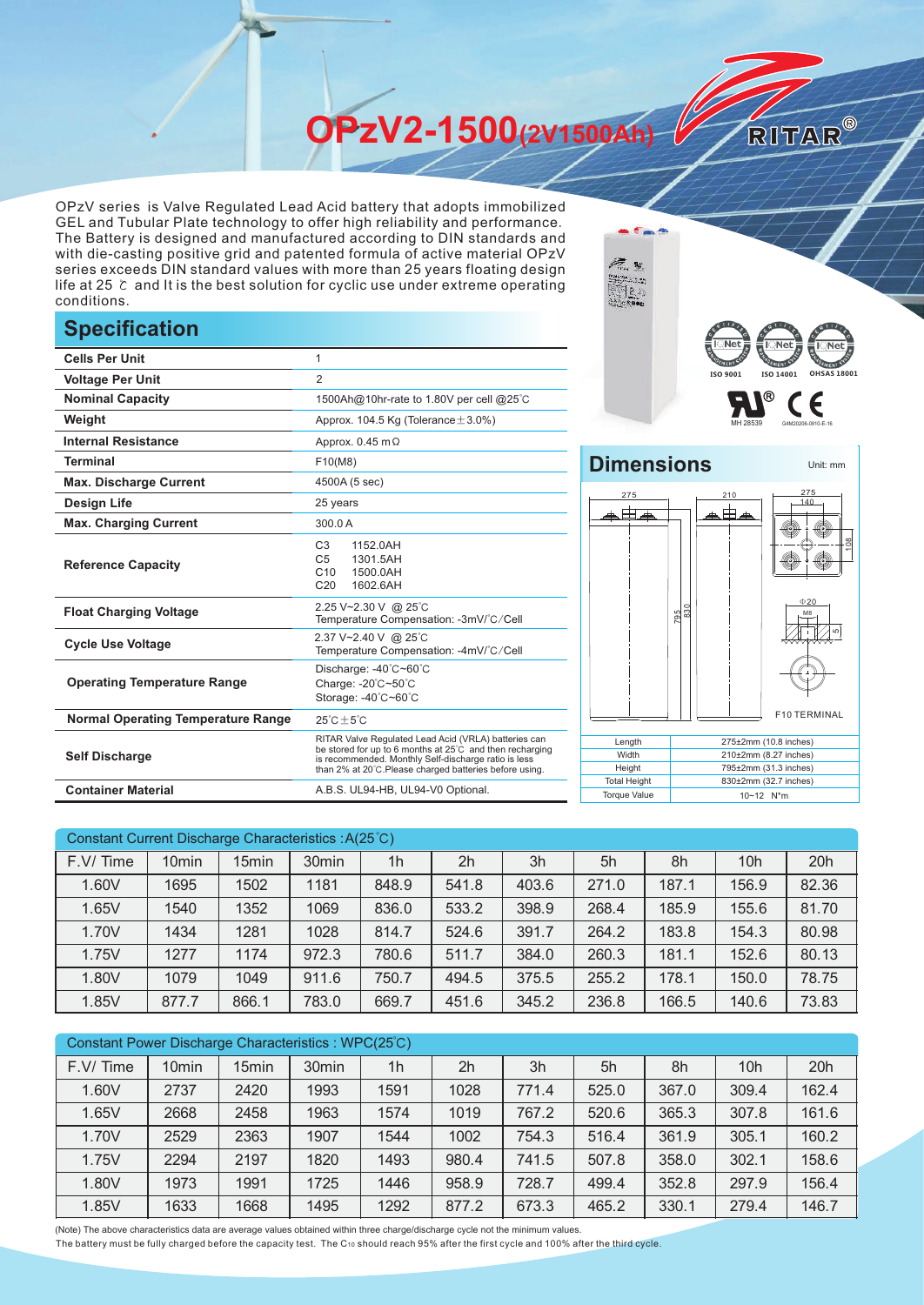**OPzV2-1500(2V1500Ah)** 

OPzV series is Valve Regulated Lead Acid battery that adopts immobilized GEL and Tubular Plate technology to offer high reliability and performance. The Battery is designed and manufactured according to DIN standards and with die-casting positive grid and patented formula of active material OPzV series exceeds DIN standard values with more than 25 years floating design life at 25 ℃ and It is the best solution for cyclic use under extreme operating conditions.

## **Specification**

|                                           |                                                                                                                                                                                                                                     | $\mathbf{B}$ Net                                                             |
|-------------------------------------------|-------------------------------------------------------------------------------------------------------------------------------------------------------------------------------------------------------------------------------------|------------------------------------------------------------------------------|
| <b>Cells Per Unit</b>                     |                                                                                                                                                                                                                                     | <b>REAL</b>                                                                  |
| <b>Voltage Per Unit</b>                   | 2                                                                                                                                                                                                                                   | ISO 9001<br>ISO 140                                                          |
| <b>Nominal Capacity</b>                   | 1500Ah@10hr-rate to 1.80V per cell @25°C                                                                                                                                                                                            | ®                                                                            |
| Weight                                    | Approx. 104.5 Kg (Tolerance $\pm$ 3.0%)                                                                                                                                                                                             |                                                                              |
| <b>Internal Resistance</b>                | Approx. $0.45$ m $\Omega$                                                                                                                                                                                                           |                                                                              |
| <b>Terminal</b>                           | F10(M8)                                                                                                                                                                                                                             | <b>Dimensions</b>                                                            |
| <b>Max. Discharge Current</b>             | 4500A (5 sec)                                                                                                                                                                                                                       |                                                                              |
| <b>Design Life</b>                        | 25 years                                                                                                                                                                                                                            | 275<br>210                                                                   |
| <b>Max. Charging Current</b>              | 300.0 A                                                                                                                                                                                                                             | ₳⊞₳<br>▰⊞                                                                    |
| <b>Reference Capacity</b>                 | C <sub>3</sub><br>1152.0AH<br>C <sub>5</sub><br>1301.5AH<br>C <sub>10</sub><br>1500.0AH<br>1602.6AH<br>C <sub>20</sub>                                                                                                              |                                                                              |
| <b>Float Charging Voltage</b>             | 2.25 V~2.30 V @ 25°C<br>Temperature Compensation: -3mV/°C/Cell                                                                                                                                                                      | $\frac{795}{830}$                                                            |
| <b>Cycle Use Voltage</b>                  | 2.37 V~2.40 V @ 25°C<br>Temperature Compensation: -4mV/°C/Cell                                                                                                                                                                      |                                                                              |
| <b>Operating Temperature Range</b>        | Discharge: -40°C~60°C<br>Charge: -20°C~50°C<br>Storage: -40°C~60°C                                                                                                                                                                  |                                                                              |
| <b>Normal Operating Temperature Range</b> | $25^{\circ}$ C $\pm 5^{\circ}$ C                                                                                                                                                                                                    | F <sub>1</sub>                                                               |
| <b>Self Discharge</b>                     | RITAR Valve Regulated Lead Acid (VRLA) batteries can<br>be stored for up to 6 months at 25°C and then recharging<br>is recommended. Monthly Self-discharge ratio is less<br>than 2% at 20°C. Please charged batteries before using. | Length<br>275±2mm (10.8<br>Width<br>210±2mm (8.27<br>Height<br>795±2mm (31.3 |
| <b>Container Material</b>                 | A.B.S. UL94-HB, UL94-V0 Optional.                                                                                                                                                                                                   | <b>Total Height</b><br>830±2mm (32.7<br><b>Torque Value</b><br>10~12 N*m     |



RITAR®

Unit: mm

## **Dimensions** 275 275 210 、由草



| Length              | $275\pm2$ mm (10.8 inches) |
|---------------------|----------------------------|
| Width               | $210\pm2$ mm (8.27 inches) |
| Height              | 795±2mm (31.3 inches)      |
| <b>Total Height</b> | 830±2mm (32.7 inches)      |
| <b>Torque Value</b> | $10 - 12$ N <sup>*</sup> m |

| Constant Current Discharge Characteristics: A(25°C) |                   |                   |                   |                |                |       |       |       |                 |       |
|-----------------------------------------------------|-------------------|-------------------|-------------------|----------------|----------------|-------|-------|-------|-----------------|-------|
| F.V/Time                                            | 10 <sub>min</sub> | 15 <sub>min</sub> | 30 <sub>min</sub> | 1 <sub>h</sub> | 2 <sub>h</sub> | 3h    | 5h    | 8h    | 10 <sub>h</sub> | 20h   |
| 1.60V                                               | 1695              | 1502              | 1181              | 848.9          | 541.8          | 403.6 | 271.0 | 187.1 | 156.9           | 82.36 |
| 1.65V                                               | 1540              | 1352              | 1069              | 836.0          | 533.2          | 398.9 | 268.4 | 185.9 | 155.6           | 81.70 |
| 1.70V                                               | 1434              | 1281              | 1028              | 814.7          | 524.6          | 391.7 | 264.2 | 183.8 | 154.3           | 80.98 |
| 1.75V                                               | 1277              | 1174              | 972.3             | 780.6          | 511.7          | 384.0 | 260.3 | 181.1 | 152.6           | 80.13 |
| 1.80V                                               | 1079              | 1049              | 911.6             | 750.7          | 494.5          | 375.5 | 255.2 | 178.1 | 150.0           | 78.75 |
| 1.85V                                               | 877.7             | 866.1             | 783.0             | 669.7          | 451.6          | 345.2 | 236.8 | 166.5 | 140.6           | 73.83 |

| Constant Power Discharge Characteristics: WPC(25°C) |                   |       |                   |                |       |       |       |       |                 |       |
|-----------------------------------------------------|-------------------|-------|-------------------|----------------|-------|-------|-------|-------|-----------------|-------|
| F.V/Time                                            | 10 <sub>min</sub> | 15min | 30 <sub>min</sub> | 1 <sub>h</sub> | 2h    | 3h    | 5h    | 8h    | 10 <sub>h</sub> | 20h   |
| 1.60V                                               | 2737              | 2420  | 1993              | 1591           | 1028  | 771.4 | 525.0 | 367.0 | 309.4           | 162.4 |
| 1.65V                                               | 2668              | 2458  | 1963              | 1574           | 1019  | 767.2 | 520.6 | 365.3 | 307.8           | 161.6 |
| 1.70V                                               | 2529              | 2363  | 1907              | 1544           | 1002  | 754.3 | 516.4 | 361.9 | 305.1           | 160.2 |
| 1.75V                                               | 2294              | 2197  | 1820              | 1493           | 980.4 | 741.5 | 507.8 | 358.0 | 302.1           | 158.6 |
| 1.80V                                               | 1973              | 1991  | 1725              | 1446           | 958.9 | 728.7 | 499.4 | 352.8 | 297.9           | 156.4 |
| 1.85V                                               | 1633              | 1668  | 1495              | 1292           | 877.2 | 673.3 | 465.2 | 330.1 | 279.4           | 146.7 |

(Note) The above characteristics data are average values obtained within three charge/discharge cycle not the minimum values.

The battery must be fully charged before the capacity test. The C10 should reach 95% after the first cycle and 100% after the third cycle.